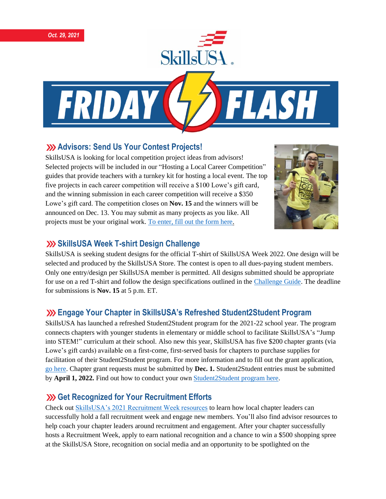



### **Advisors: Send Us Your Contest Projects!**

SkillsUSA is looking for local competition project ideas from advisors! Selected projects will be included in our "Hosting a Local Career Competition" guides that provide teachers with a turnkey kit for hosting a local event. The top five projects in each career competition will receive a \$100 Lowe's gift card, and the winning submission in each career competition will receive a \$350 Lowe's gift card. The competition closes on **Nov. 15** and the winners will be announced on Dec. 13. You may submit as many projects as you like. All projects must be your original work. [To enter, fill out the form here.](https://www.skillsusa.org/competitions/2021-skillsusa-career-competition-project/)



### **SkillsUSA Week T-shirt Design Challenge**

SkillsUSA is seeking student designs for the official T-shirt of SkillsUSA Week 2022. One design will be selected and produced by the SkillsUSA Store. The contest is open to all dues-paying student members. Only one entry/design per SkillsUSA member is permitted. All designs submitted should be appropriate for use on a red T-shirt and follow the design specifications outlined in the [Challenge Guide.](https://skillsusa.egnyte.com/dl/s7J9sRO8qg) The deadline for submissions is **Nov. 15** at 5 p.m. ET.

# **Engage Your Chapter in SkillsUSA's Refreshed Student2Student Program**

SkillsUSA has launched a refreshed Student2Student program for the 2021-22 school year. The program connects chapters with younger students in elementary or middle school to facilitate SkillsUSA's "Jump into STEM!" curriculum at their school. Also new this year, SkillsUSA has five \$200 chapter grants (via Lowe's gift cards) available on a first-come, first-served basis for chapters to purchase supplies for facilitation of their Student2Student program. For more information and to fill out the grant application, [go here.](https://skillsusa.wufoo.com/forms/q1q0j4bd0laniof/) Chapter grant requests must be submitted by **Dec. 1.** Student2Student entries must be submitted by **April 1, 2022.** Find out how to conduct your own [Student2Student program here.](https://www.skillsusa.org/programs/student2student/)

# **XXX** Get Recognized for Your Recruitment Efforts

Check ou[t SkillsUSA's 2021 Recruitment Week resources](https://www.skillsusa.org/programs/2021-recruitment/) to learn how local chapter leaders can successfully hold a fall recruitment week and engage new members. You'll also find advisor resources to help coach your chapter leaders around recruitment and engagement. After your chapter successfully hosts a Recruitment Week, apply to earn national recognition and a chance to win a \$500 shopping spree at the SkillsUSA Store, recognition on social media and an opportunity to be spotlighted on the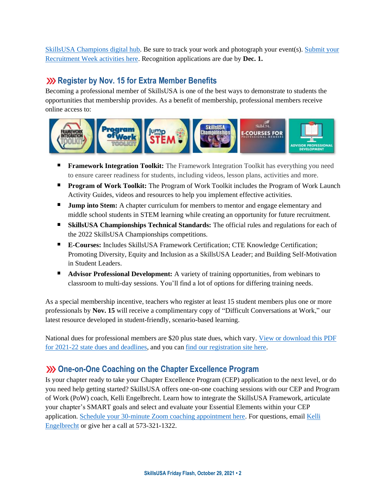[SkillsUSA Champions digital hub.](http://champions.skillsusa.org/) Be sure to track your work and photograph your event(s). [Submit your](https://skillsusa.wufoo.com/forms/2021-recruitment-week-recognition-application)  [Recruitment Week activities here.](https://skillsusa.wufoo.com/forms/2021-recruitment-week-recognition-application) Recognition applications are due by **Dec. 1.**

### **Register by Nov. 15 for Extra Member Benefits**

Becoming a professional member of SkillsUSA is one of the best ways to demonstrate to students the opportunities that membership provides. As a benefit of membership, professional members receive online access to:



- **Framework Integration Toolkit:** The Framework Integration Toolkit has everything you need to ensure career readiness for students, including videos, lesson plans, activities and more.
- **Program of Work Toolkit:** The Program of Work Toolkit includes the Program of Work Launch Activity Guides, videos and resources to help you implement effective activities.
- **Jump into Stem:** A chapter curriculum for members to mentor and engage elementary and middle school students in STEM learning while creating an opportunity for future recruitment.
- **SkillsUSA Championships Technical Standards:** The official rules and regulations for each of the 2022 SkillsUSA Championships competitions.
- **E-Courses:** Includes SkillsUSA Framework Certification; CTE Knowledge Certification; Promoting Diversity, Equity and Inclusion as a SkillsUSA Leader; and Building Self-Motivation in Student Leaders.
- $\blacksquare$ **Advisor Professional Development:** A variety of training opportunities, from webinars to classroom to multi-day sessions. You'll find a lot of options for differing training needs.

As a special membership incentive, teachers who register at least 15 student members plus one or more professionals by **Nov. 15** will receive a complimentary copy of "Difficult Conversations at Work," our latest resource developed in student-friendly, scenario-based learning.

National dues for professional members are \$20 plus state dues, which vary. [View or download this PDF](https://www.skillsusa.org/wp-content/uploads/2019/08/State-information-Dues-Deadlines.pdf)  [for 2021-22 state dues and deadlines,](https://www.skillsusa.org/wp-content/uploads/2019/08/State-information-Dues-Deadlines.pdf) and you ca[n find our registration site here.](https://www.skillsusa-register.org/Login.aspx)

# **One-on-One Coaching on the Chapter Excellence Program**

Is your chapter ready to take your Chapter Excellence Program (CEP) application to the next level, or do you need help getting started? SkillsUSA offers one-on-one coaching sessions with our CEP and Program of Work (PoW) coach, Kelli Engelbrecht. Learn how to integrate the SkillsUSA Framework, articulate your chapter's SMART goals and select and evaluate your Essential Elements within your CEP application. [Schedule your 30-minute Zoom coaching appointment here.](https://calendly.com/skillsusakelli) For questions, email [Kelli](mailto:kengelbrecht@skillsusa.org)  [Engelbrecht](mailto:kengelbrecht@skillsusa.org) or give her a call at 573-321-1322.